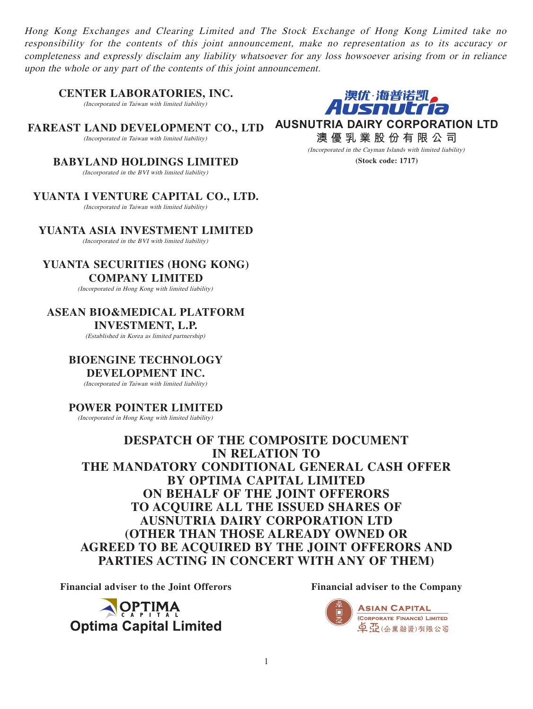Hong Kong Exchanges and Clearing Limited and The Stock Exchange of Hong Kong Limited take no responsibility for the contents of this joint announcement, make no representation as to its accuracy or completeness and expressly disclaim any liability whatsoever for any loss howsoever arising from or in reliance upon the whole or any part of the contents of this joint announcement.

**CENTER LABORATORIES, INC.**

(Incorporated in Taiwan with limited liability)

**FAREAST LAND DEVELOPMENT CO., LTD** (Incorporated in Taiwan with limited liability)

> **BABYLAND HOLDINGS LIMITED** (Incorporated in the BVI with limited liability)

**YUANTA I VENTURE CAPITAL CO., LTD.** (Incorporated in Taiwan with limited liability)

**YUANTA ASIA INVESTMENT LIMITED** (Incorporated in the BVI with limited liability)

**YUANTA SECURITIES (HONG KONG) COMPANY LIMITED**

(Incorporated in Hong Kong with limited liability)

**ASEAN BIO&MEDICAL PLATFORM INVESTMENT, L.P.**

(Established in Korea as limited partnership)

**BIOENGINE TECHNOLOGY DEVELOPMENT INC.**

(Incorporated in Taiwan with limited liability)

# **POWER POINTER LIMITED**

(Incorporated in Hong Kong with limited liability)

**DESPATCH OF THE COMPOSITE DOCUMENT IN RELATION TO THE MANDATORY CONDITIONAL GENERAL CASH OFFER BY OPTIMA CAPITAL LIMITED ON BEHALF OF THE JOINT OFFERORS TO ACQUIRE ALL THE ISSUED SHARES OF AUSNUTRIA DAIRY CORPORATION LTD (OTHER THAN THOSE ALREADY OWNED OR AGREED TO BE ACQUIRED BY THE JOINT OFFERORS AND PARTIES ACTING IN CONCERT WITH ANY OF THEM)**

**Financial adviser to the Joint Offerors Financial adviser to the Company**

OPTIMA **Optima Capital Limited** 



,澳优·海普诺凯,<br>**AUSNULT***I***a** 

**AUSNUTRIA DAIRY CORPORATION LTD**

**澳優乳業股份有限公司** (Incorporated in the Cayman Islands with limited liability) **(Stock code: 1717)**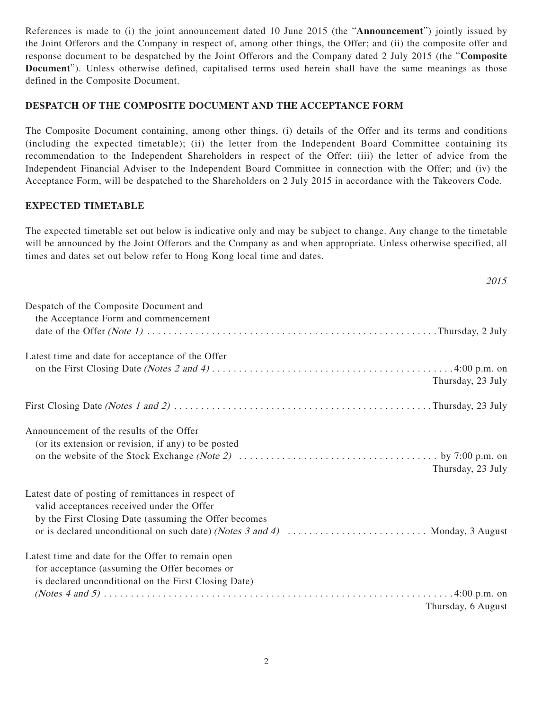References is made to (i) the joint announcement dated 10 June 2015 (the "**Announcement**") jointly issued by the Joint Offerors and the Company in respect of, among other things, the Offer; and (ii) the composite offer and response document to be despatched by the Joint Offerors and the Company dated 2 July 2015 (the "**Composite Document**"). Unless otherwise defined, capitalised terms used herein shall have the same meanings as those defined in the Composite Document.

### **DESPATCH OF THE COMPOSITE DOCUMENT AND THE ACCEPTANCE FORM**

The Composite Document containing, among other things, (i) details of the Offer and its terms and conditions (including the expected timetable); (ii) the letter from the Independent Board Committee containing its recommendation to the Independent Shareholders in respect of the Offer; (iii) the letter of advice from the Independent Financial Adviser to the Independent Board Committee in connection with the Offer; and (iv) the Acceptance Form, will be despatched to the Shareholders on 2 July 2015 in accordance with the Takeovers Code.

### **EXPECTED TIMETABLE**

The expected timetable set out below is indicative only and may be subject to change. Any change to the timetable will be announced by the Joint Offerors and the Company as and when appropriate. Unless otherwise specified, all times and dates set out below refer to Hong Kong local time and dates.

2015

| Despatch of the Composite Document and<br>the Acceptance Form and commencement                                                                                                                                                             |                    |
|--------------------------------------------------------------------------------------------------------------------------------------------------------------------------------------------------------------------------------------------|--------------------|
| Latest time and date for acceptance of the Offer                                                                                                                                                                                           | Thursday, 23 July  |
|                                                                                                                                                                                                                                            |                    |
| Announcement of the results of the Offer<br>(or its extension or revision, if any) to be posted                                                                                                                                            | Thursday, 23 July  |
| Latest date of posting of remittances in respect of<br>valid acceptances received under the Offer<br>by the First Closing Date (assuming the Offer becomes<br>or is declared unconditional on such date) (Notes 3 and 4)  Monday, 3 August |                    |
| Latest time and date for the Offer to remain open<br>for acceptance (assuming the Offer becomes or<br>is declared unconditional on the First Closing Date)                                                                                 |                    |
|                                                                                                                                                                                                                                            | Thursday, 6 August |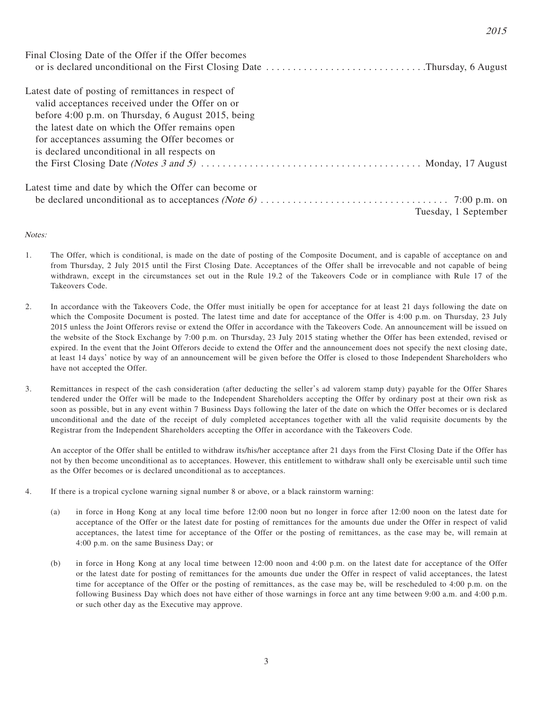| Final Closing Date of the Offer if the Offer becomes  | or is declared unconditional on the First Closing Date Thursday, 6 August |
|-------------------------------------------------------|---------------------------------------------------------------------------|
| Latest date of posting of remittances in respect of   |                                                                           |
| valid acceptances received under the Offer on or      |                                                                           |
| before 4:00 p.m. on Thursday, 6 August 2015, being    |                                                                           |
| the latest date on which the Offer remains open       |                                                                           |
| for acceptances assuming the Offer becomes or         |                                                                           |
| is declared unconditional in all respects on          |                                                                           |
|                                                       |                                                                           |
| Latest time and date by which the Offer can become or |                                                                           |
|                                                       |                                                                           |
|                                                       | Tuesday, 1 September                                                      |

#### Notes:

- 1. The Offer, which is conditional, is made on the date of posting of the Composite Document, and is capable of acceptance on and from Thursday, 2 July 2015 until the First Closing Date. Acceptances of the Offer shall be irrevocable and not capable of being withdrawn, except in the circumstances set out in the Rule 19.2 of the Takeovers Code or in compliance with Rule 17 of the Takeovers Code.
- 2. In accordance with the Takeovers Code, the Offer must initially be open for acceptance for at least 21 days following the date on which the Composite Document is posted. The latest time and date for acceptance of the Offer is 4:00 p.m. on Thursday, 23 July 2015 unless the Joint Offerors revise or extend the Offer in accordance with the Takeovers Code. An announcement will be issued on the website of the Stock Exchange by 7:00 p.m. on Thursday, 23 July 2015 stating whether the Offer has been extended, revised or expired. In the event that the Joint Offerors decide to extend the Offer and the announcement does not specify the next closing date, at least 14 days' notice by way of an announcement will be given before the Offer is closed to those Independent Shareholders who have not accepted the Offer.
- 3. Remittances in respect of the cash consideration (after deducting the seller's ad valorem stamp duty) payable for the Offer Shares tendered under the Offer will be made to the Independent Shareholders accepting the Offer by ordinary post at their own risk as soon as possible, but in any event within 7 Business Days following the later of the date on which the Offer becomes or is declared unconditional and the date of the receipt of duly completed acceptances together with all the valid requisite documents by the Registrar from the Independent Shareholders accepting the Offer in accordance with the Takeovers Code.

An acceptor of the Offer shall be entitled to withdraw its/his/her acceptance after 21 days from the First Closing Date if the Offer has not by then become unconditional as to acceptances. However, this entitlement to withdraw shall only be exercisable until such time as the Offer becomes or is declared unconditional as to acceptances.

- 4. If there is a tropical cyclone warning signal number 8 or above, or a black rainstorm warning:
	- (a) in force in Hong Kong at any local time before 12:00 noon but no longer in force after 12:00 noon on the latest date for acceptance of the Offer or the latest date for posting of remittances for the amounts due under the Offer in respect of valid acceptances, the latest time for acceptance of the Offer or the posting of remittances, as the case may be, will remain at 4:00 p.m. on the same Business Day; or
	- (b) in force in Hong Kong at any local time between 12:00 noon and 4:00 p.m. on the latest date for acceptance of the Offer or the latest date for posting of remittances for the amounts due under the Offer in respect of valid acceptances, the latest time for acceptance of the Offer or the posting of remittances, as the case may be, will be rescheduled to 4:00 p.m. on the following Business Day which does not have either of those warnings in force ant any time between 9:00 a.m. and 4:00 p.m. or such other day as the Executive may approve.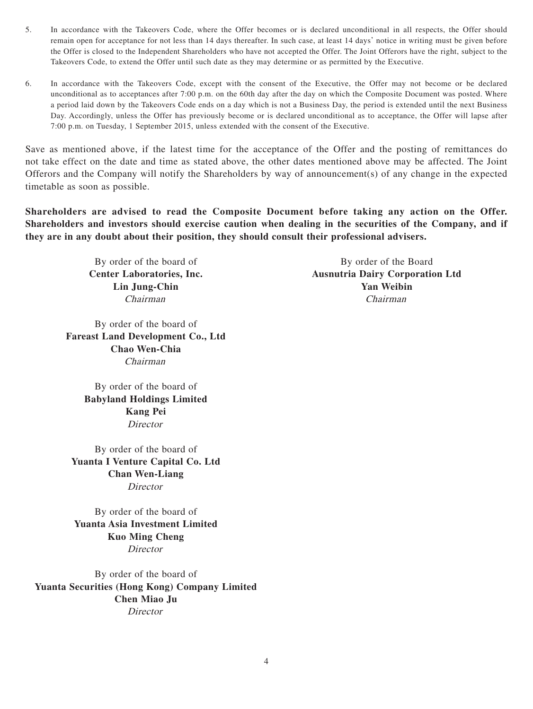- 5. In accordance with the Takeovers Code, where the Offer becomes or is declared unconditional in all respects, the Offer should remain open for acceptance for not less than 14 days thereafter. In such case, at least 14 days' notice in writing must be given before the Offer is closed to the Independent Shareholders who have not accepted the Offer. The Joint Offerors have the right, subject to the Takeovers Code, to extend the Offer until such date as they may determine or as permitted by the Executive.
- 6. In accordance with the Takeovers Code, except with the consent of the Executive, the Offer may not become or be declared unconditional as to acceptances after 7:00 p.m. on the 60th day after the day on which the Composite Document was posted. Where a period laid down by the Takeovers Code ends on a day which is not a Business Day, the period is extended until the next Business Day. Accordingly, unless the Offer has previously become or is declared unconditional as to acceptance, the Offer will lapse after 7:00 p.m. on Tuesday, 1 September 2015, unless extended with the consent of the Executive.

Save as mentioned above, if the latest time for the acceptance of the Offer and the posting of remittances do not take effect on the date and time as stated above, the other dates mentioned above may be affected. The Joint Offerors and the Company will notify the Shareholders by way of announcement(s) of any change in the expected timetable as soon as possible.

**Shareholders are advised to read the Composite Document before taking any action on the Offer. Shareholders and investors should exercise caution when dealing in the securities of the Company, and if they are in any doubt about their position, they should consult their professional advisers.**

By order of the board of **Fareast Land Development Co., Ltd Chao Wen-Chia** Chairman

> By order of the board of **Babyland Holdings Limited Kang Pei** Director

By order of the board of **Yuanta I Venture Capital Co. Ltd Chan Wen-Liang Director** 

By order of the board of **Yuanta Asia Investment Limited Kuo Ming Cheng Director** 

By order of the board of **Yuanta Securities (Hong Kong) Company Limited Chen Miao Ju Director** 

By order of the board of By order of the Board **Center Laboratories, Inc. Ausnutria Dairy Corporation Ltd Lin Jung-Chin Yan Weibin** Chairman Chairman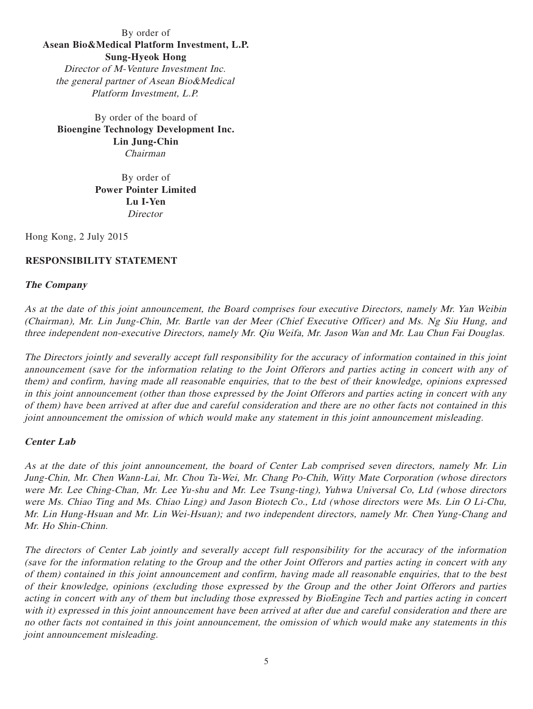# By order of **Asean Bio&Medical Platform Investment, L.P. Sung-Hyeok Hong** Director of M-Venture Investment Inc. the general partner of Asean Bio&Medical Platform Investment, L.P.

By order of the board of **Bioengine Technology Development Inc. Lin Jung-Chin** Chairman

> By order of **Power Pointer Limited Lu I-Yen Director**

Hong Kong, 2 July 2015

# **RESPONSIBILITY STATEMENT**

### **The Company**

As at the date of this joint announcement, the Board comprises four executive Directors, namely Mr. Yan Weibin (Chairman), Mr. Lin Jung-Chin, Mr. Bartle van der Meer (Chief Executive Officer) and Ms. Ng Siu Hung, and three independent non-executive Directors, namely Mr. Qiu Weifa, Mr. Jason Wan and Mr. Lau Chun Fai Douglas.

The Directors jointly and severally accept full responsibility for the accuracy of information contained in this joint announcement (save for the information relating to the Joint Offerors and parties acting in concert with any of them) and confirm, having made all reasonable enquiries, that to the best of their knowledge, opinions expressed in this joint announcement (other than those expressed by the Joint Offerors and parties acting in concert with any of them) have been arrived at after due and careful consideration and there are no other facts not contained in this joint announcement the omission of which would make any statement in this joint announcement misleading.

#### **Center Lab**

As at the date of this joint announcement, the board of Center Lab comprised seven directors, namely Mr. Lin Jung-Chin, Mr. Chen Wann-Lai, Mr. Chou Ta-Wei, Mr. Chang Po-Chih, Witty Mate Corporation (whose directors were Mr. Lee Ching-Chan, Mr. Lee Yu-shu and Mr. Lee Tsung-ting), Yuhwa Universal Co, Ltd (whose directors were Ms. Chiao Ting and Ms. Chiao Ling) and Jason Biotech Co., Ltd (whose directors were Ms. Lin O Li-Chu, Mr. Lin Hung-Hsuan and Mr. Lin Wei-Hsuan); and two independent directors, namely Mr. Chen Yung-Chang and Mr. Ho Shin-Chinn.

The directors of Center Lab jointly and severally accept full responsibility for the accuracy of the information (save for the information relating to the Group and the other Joint Offerors and parties acting in concert with any of them) contained in this joint announcement and confirm, having made all reasonable enquiries, that to the best of their knowledge, opinions (excluding those expressed by the Group and the other Joint Offerors and parties acting in concert with any of them but including those expressed by BioEngine Tech and parties acting in concert with it) expressed in this joint announcement have been arrived at after due and careful consideration and there are no other facts not contained in this joint announcement, the omission of which would make any statements in this joint announcement misleading.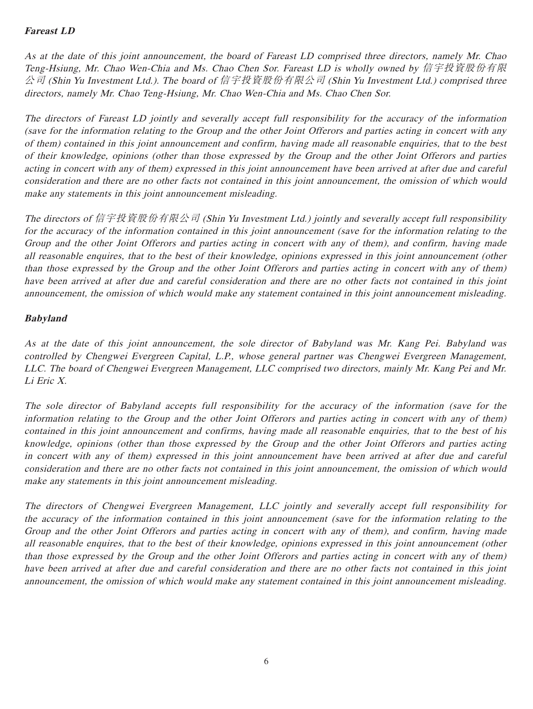# **Fareast LD**

As at the date of this joint announcement, the board of Fareast LD comprised three directors, namely Mr. Chao Teng-Hsiung, Mr. Chao Wen-Chia and Ms. Chao Chen Sor. Fareast LD is wholly owned by 信宇投資股份有限 公司 (Shin Yu Investment Ltd.). The board of 信宇投資股份有限公司 (Shin Yu Investment Ltd.) comprised three directors, namely Mr. Chao Teng-Hsiung, Mr. Chao Wen-Chia and Ms. Chao Chen Sor.

The directors of Fareast LD jointly and severally accept full responsibility for the accuracy of the information (save for the information relating to the Group and the other Joint Offerors and parties acting in concert with any of them) contained in this joint announcement and confirm, having made all reasonable enquiries, that to the best of their knowledge, opinions (other than those expressed by the Group and the other Joint Offerors and parties acting in concert with any of them) expressed in this joint announcement have been arrived at after due and careful consideration and there are no other facts not contained in this joint announcement, the omission of which would make any statements in this joint announcement misleading.

The directors of 信宇投資股份有限公司 (Shin Yu Investment Ltd.) jointly and severally accept full responsibility for the accuracy of the information contained in this joint announcement (save for the information relating to the Group and the other Joint Offerors and parties acting in concert with any of them), and confirm, having made all reasonable enquires, that to the best of their knowledge, opinions expressed in this joint announcement (other than those expressed by the Group and the other Joint Offerors and parties acting in concert with any of them) have been arrived at after due and careful consideration and there are no other facts not contained in this joint announcement, the omission of which would make any statement contained in this joint announcement misleading.

# **Babyland**

As at the date of this joint announcement, the sole director of Babyland was Mr. Kang Pei. Babyland was controlled by Chengwei Evergreen Capital, L.P., whose general partner was Chengwei Evergreen Management, LLC. The board of Chengwei Evergreen Management, LLC comprised two directors, mainly Mr. Kang Pei and Mr. Li Eric X.

The sole director of Babyland accepts full responsibility for the accuracy of the information (save for the information relating to the Group and the other Joint Offerors and parties acting in concert with any of them) contained in this joint announcement and confirms, having made all reasonable enquiries, that to the best of his knowledge, opinions (other than those expressed by the Group and the other Joint Offerors and parties acting in concert with any of them) expressed in this joint announcement have been arrived at after due and careful consideration and there are no other facts not contained in this joint announcement, the omission of which would make any statements in this joint announcement misleading.

The directors of Chengwei Evergreen Management, LLC jointly and severally accept full responsibility for the accuracy of the information contained in this joint announcement (save for the information relating to the Group and the other Joint Offerors and parties acting in concert with any of them), and confirm, having made all reasonable enquires, that to the best of their knowledge, opinions expressed in this joint announcement (other than those expressed by the Group and the other Joint Offerors and parties acting in concert with any of them) have been arrived at after due and careful consideration and there are no other facts not contained in this joint announcement, the omission of which would make any statement contained in this joint announcement misleading.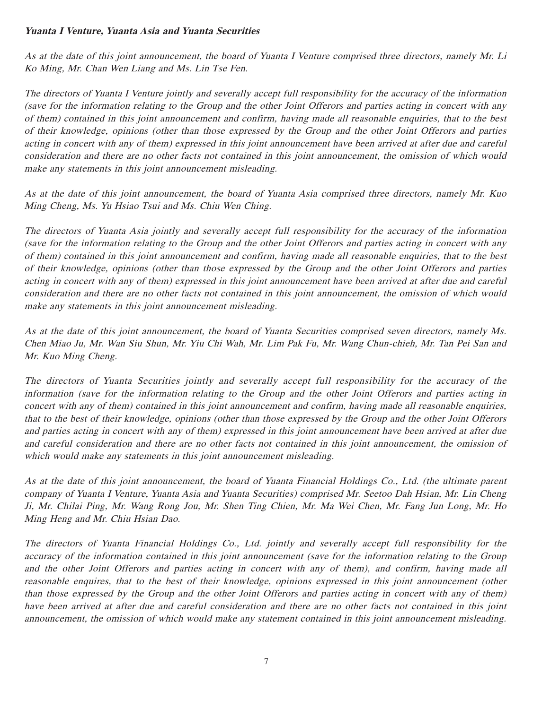## **Yuanta I Venture, Yuanta Asia and Yuanta Securities**

As at the date of this joint announcement, the board of Yuanta I Venture comprised three directors, namely Mr. Li Ko Ming, Mr. Chan Wen Liang and Ms. Lin Tse Fen.

The directors of Yuanta I Venture jointly and severally accept full responsibility for the accuracy of the information (save for the information relating to the Group and the other Joint Offerors and parties acting in concert with any of them) contained in this joint announcement and confirm, having made all reasonable enquiries, that to the best of their knowledge, opinions (other than those expressed by the Group and the other Joint Offerors and parties acting in concert with any of them) expressed in this joint announcement have been arrived at after due and careful consideration and there are no other facts not contained in this joint announcement, the omission of which would make any statements in this joint announcement misleading.

As at the date of this joint announcement, the board of Yuanta Asia comprised three directors, namely Mr. Kuo Ming Cheng, Ms. Yu Hsiao Tsui and Ms. Chiu Wen Ching.

The directors of Yuanta Asia jointly and severally accept full responsibility for the accuracy of the information (save for the information relating to the Group and the other Joint Offerors and parties acting in concert with any of them) contained in this joint announcement and confirm, having made all reasonable enquiries, that to the best of their knowledge, opinions (other than those expressed by the Group and the other Joint Offerors and parties acting in concert with any of them) expressed in this joint announcement have been arrived at after due and careful consideration and there are no other facts not contained in this joint announcement, the omission of which would make any statements in this joint announcement misleading.

As at the date of this joint announcement, the board of Yuanta Securities comprised seven directors, namely Ms. Chen Miao Ju, Mr. Wan Siu Shun, Mr. Yiu Chi Wah, Mr. Lim Pak Fu, Mr. Wang Chun-chieh, Mr. Tan Pei San and Mr. Kuo Ming Cheng.

The directors of Yuanta Securities jointly and severally accept full responsibility for the accuracy of the information (save for the information relating to the Group and the other Joint Offerors and parties acting in concert with any of them) contained in this joint announcement and confirm, having made all reasonable enquiries, that to the best of their knowledge, opinions (other than those expressed by the Group and the other Joint Offerors and parties acting in concert with any of them) expressed in this joint announcement have been arrived at after due and careful consideration and there are no other facts not contained in this joint announcement, the omission of which would make any statements in this joint announcement misleading.

As at the date of this joint announcement, the board of Yuanta Financial Holdings Co., Ltd. (the ultimate parent company of Yuanta I Venture, Yuanta Asia and Yuanta Securities) comprised Mr. Seetoo Dah Hsian, Mr. Lin Cheng Ji, Mr. Chilai Ping, Mr. Wang Rong Jou, Mr. Shen Ting Chien, Mr. Ma Wei Chen, Mr. Fang Jun Long, Mr. Ho Ming Heng and Mr. Chiu Hsian Dao.

The directors of Yuanta Financial Holdings Co., Ltd. jointly and severally accept full responsibility for the accuracy of the information contained in this joint announcement (save for the information relating to the Group and the other Joint Offerors and parties acting in concert with any of them), and confirm, having made all reasonable enquires, that to the best of their knowledge, opinions expressed in this joint announcement (other than those expressed by the Group and the other Joint Offerors and parties acting in concert with any of them) have been arrived at after due and careful consideration and there are no other facts not contained in this joint announcement, the omission of which would make any statement contained in this joint announcement misleading.